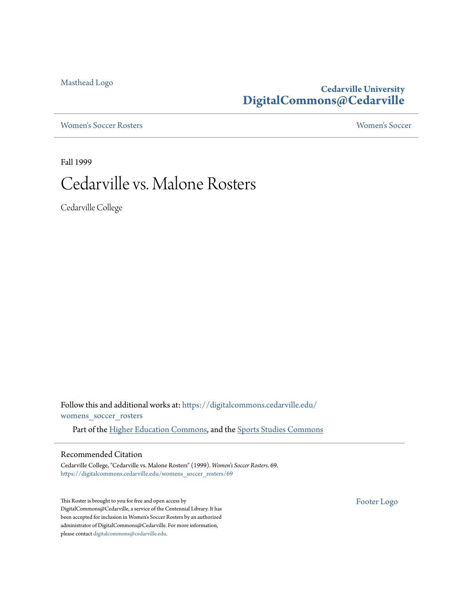[Masthead Logo](http://www.cedarville.edu/?utm_source=digitalcommons.cedarville.edu%2Fwomens_soccer_rosters%2F69&utm_medium=PDF&utm_campaign=PDFCoverPages)

### **Cedarville University [DigitalCommons@Cedarville](https://digitalcommons.cedarville.edu?utm_source=digitalcommons.cedarville.edu%2Fwomens_soccer_rosters%2F69&utm_medium=PDF&utm_campaign=PDFCoverPages)**

[Women's Soccer Rosters](https://digitalcommons.cedarville.edu/womens_soccer_rosters?utm_source=digitalcommons.cedarville.edu%2Fwomens_soccer_rosters%2F69&utm_medium=PDF&utm_campaign=PDFCoverPages) [Women's Soccer](https://digitalcommons.cedarville.edu/womens_soccer?utm_source=digitalcommons.cedarville.edu%2Fwomens_soccer_rosters%2F69&utm_medium=PDF&utm_campaign=PDFCoverPages)

Fall 1999

# Cedarville vs. Malone Rosters

Cedarville College

Follow this and additional works at: [https://digitalcommons.cedarville.edu/](https://digitalcommons.cedarville.edu/womens_soccer_rosters?utm_source=digitalcommons.cedarville.edu%2Fwomens_soccer_rosters%2F69&utm_medium=PDF&utm_campaign=PDFCoverPages) [womens\\_soccer\\_rosters](https://digitalcommons.cedarville.edu/womens_soccer_rosters?utm_source=digitalcommons.cedarville.edu%2Fwomens_soccer_rosters%2F69&utm_medium=PDF&utm_campaign=PDFCoverPages)

Part of the [Higher Education Commons](http://network.bepress.com/hgg/discipline/1245?utm_source=digitalcommons.cedarville.edu%2Fwomens_soccer_rosters%2F69&utm_medium=PDF&utm_campaign=PDFCoverPages), and the [Sports Studies Commons](http://network.bepress.com/hgg/discipline/1198?utm_source=digitalcommons.cedarville.edu%2Fwomens_soccer_rosters%2F69&utm_medium=PDF&utm_campaign=PDFCoverPages)

#### Recommended Citation

Cedarville College, "Cedarville vs. Malone Rosters" (1999). *Women's Soccer Rosters*. 69. [https://digitalcommons.cedarville.edu/womens\\_soccer\\_rosters/69](https://digitalcommons.cedarville.edu/womens_soccer_rosters/69?utm_source=digitalcommons.cedarville.edu%2Fwomens_soccer_rosters%2F69&utm_medium=PDF&utm_campaign=PDFCoverPages)

This Roster is brought to you for free and open access by DigitalCommons@Cedarville, a service of the Centennial Library. It has been accepted for inclusion in Women's Soccer Rosters by an authorized administrator of DigitalCommons@Cedarville. For more information, please contact [digitalcommons@cedarville.edu.](mailto:digitalcommons@cedarville.edu)

[Footer Logo](http://www.cedarville.edu/Academics/Library.aspx?utm_source=digitalcommons.cedarville.edu%2Fwomens_soccer_rosters%2F69&utm_medium=PDF&utm_campaign=PDFCoverPages)